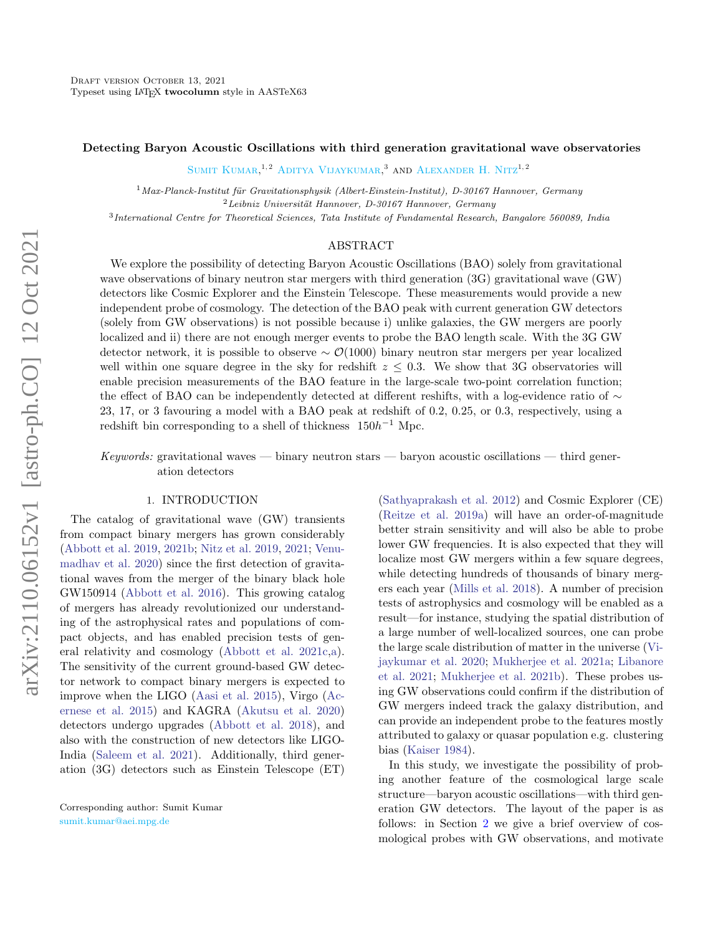# Detecting Baryon Acoustic Oscillations with third generation gravitational wave observatories

SUMIT KUMAR.<sup>1,2</sup> ADITYA VIJAYKUMAR.<sup>3</sup> AND ALEXANDER H. NITZ<sup>1,2</sup>

 $1$ Max-Planck-Institut für Gravitationsphysik (Albert-Einstein-Institut), D-30167 Hannover, Germany  ${}^{2}$ Leibniz Universität Hannover, D-30167 Hannover, Germany

3 International Centre for Theoretical Sciences, Tata Institute of Fundamental Research, Bangalore 560089, India

## ABSTRACT

We explore the possibility of detecting Baryon Acoustic Oscillations (BAO) solely from gravitational wave observations of binary neutron star mergers with third generation (3G) gravitational wave (GW) detectors like Cosmic Explorer and the Einstein Telescope. These measurements would provide a new independent probe of cosmology. The detection of the BAO peak with current generation GW detectors (solely from GW observations) is not possible because i) unlike galaxies, the GW mergers are poorly localized and ii) there are not enough merger events to probe the BAO length scale. With the 3G GW detector network, it is possible to observe ∼ O(1000) binary neutron star mergers per year localized well within one square degree in the sky for redshift  $z \leq 0.3$ . We show that 3G observatories will enable precision measurements of the BAO feature in the large-scale two-point correlation function; the effect of BAO can be independently detected at different reshifts, with a log-evidence ratio of ∼ 23, 17, or 3 favouring a model with a BAO peak at redshift of 0.2, 0.25, or 0.3, respectively, using a redshift bin corresponding to a shell of thickness  $150h^{-1}$  Mpc.

Keywords: gravitational waves — binary neutron stars — baryon acoustic oscillations — third generation detectors

### 1. INTRODUCTION

The catalog of gravitational wave (GW) transients from compact binary mergers has grown considerably [\(Abbott et al.](#page-7-0) [2019,](#page-7-0) [2021b;](#page-7-1) [Nitz et al.](#page-8-0) [2019,](#page-8-0) [2021;](#page-8-1) [Venu](#page-9-0)[madhav et al.](#page-9-0) [2020\)](#page-9-0) since the first detection of gravitational waves from the merger of the binary black hole GW150914 [\(Abbott et al.](#page-7-2) [2016\)](#page-7-2). This growing catalog of mergers has already revolutionized our understanding of the astrophysical rates and populations of compact objects, and has enabled precision tests of general relativity and cosmology [\(Abbott et al.](#page-7-3) [2021c,](#page-7-3)[a\)](#page-7-4). The sensitivity of the current ground-based GW detector network to compact binary mergers is expected to improve when the LIGO [\(Aasi et al.](#page-7-5) [2015\)](#page-7-5), Virgo [\(Ac](#page-7-6)[ernese et al.](#page-7-6) [2015\)](#page-7-6) and KAGRA [\(Akutsu et al.](#page-7-7) [2020\)](#page-7-7) detectors undergo upgrades [\(Abbott et al.](#page-7-8) [2018\)](#page-7-8), and also with the construction of new detectors like LIGO-India [\(Saleem et al.](#page-9-1) [2021\)](#page-9-1). Additionally, third generation (3G) detectors such as Einstein Telescope (ET) [\(Sathyaprakash et al.](#page-9-2) [2012\)](#page-9-2) and Cosmic Explorer (CE) [\(Reitze et al.](#page-9-3) [2019a\)](#page-9-3) will have an order-of-magnitude better strain sensitivity and will also be able to probe lower GW frequencies. It is also expected that they will localize most GW mergers within a few square degrees, while detecting hundreds of thousands of binary mergers each year [\(Mills et al.](#page-8-2) [2018\)](#page-8-2). A number of precision tests of astrophysics and cosmology will be enabled as a result—for instance, studying the spatial distribution of a large number of well-localized sources, one can probe the large scale distribution of matter in the universe [\(Vi](#page-9-4)[jaykumar et al.](#page-9-4) [2020;](#page-9-4) [Mukherjee et al.](#page-8-3) [2021a;](#page-8-3) [Libanore](#page-8-4) [et al.](#page-8-4) [2021;](#page-8-4) [Mukherjee et al.](#page-8-5) [2021b\)](#page-8-5). These probes using GW observations could confirm if the distribution of GW mergers indeed track the galaxy distribution, and can provide an independent probe to the features mostly attributed to galaxy or quasar population e.g. clustering bias [\(Kaiser](#page-8-6) [1984\)](#page-8-6).

In this study, we investigate the possibility of probing another feature of the cosmological large scale structure—baryon acoustic oscillations—with third generation GW detectors. The layout of the paper is as follows: in Section [2](#page-1-0) we give a brief overview of cosmological probes with GW observations, and motivate

Corresponding author: Sumit Kumar [sumit.kumar@aei.mpg.de](mailto: sumit.kumar@aei.mpg.de)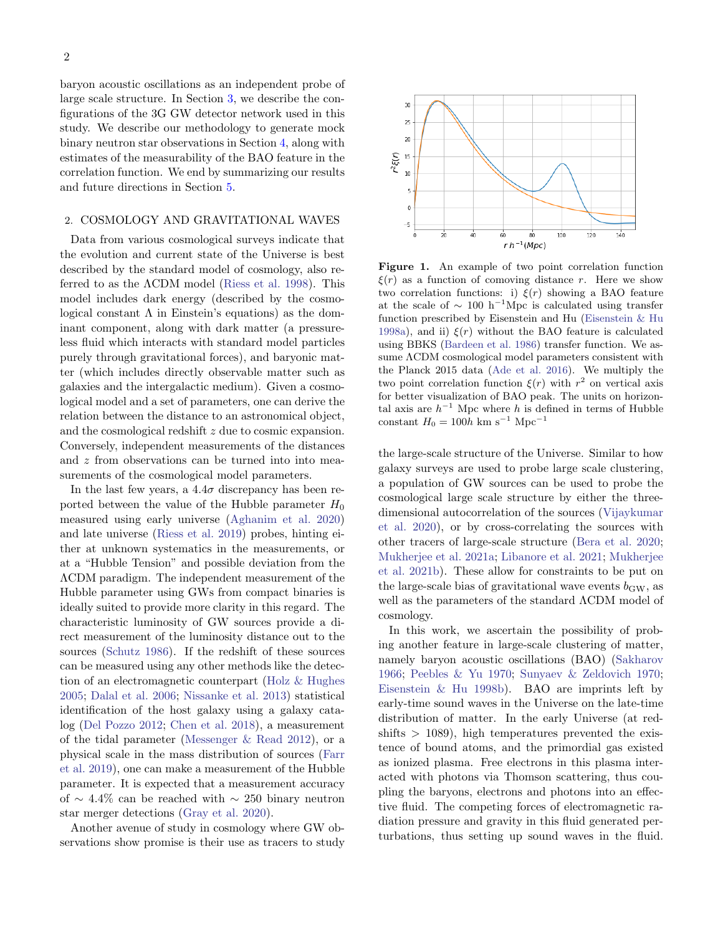baryon acoustic oscillations as an independent probe of large scale structure. In Section [3,](#page-2-0) we describe the configurations of the 3G GW detector network used in this study. We describe our methodology to generate mock binary neutron star observations in Section [4,](#page-3-0) along with estimates of the measurability of the BAO feature in the correlation function. We end by summarizing our results and future directions in Section [5.](#page-7-9)

# <span id="page-1-0"></span>2. COSMOLOGY AND GRAVITATIONAL WAVES

Data from various cosmological surveys indicate that the evolution and current state of the Universe is best described by the standard model of cosmology, also referred to as the ΛCDM model [\(Riess et al.](#page-9-5) [1998\)](#page-9-5). This model includes dark energy (described by the cosmological constant  $\Lambda$  in Einstein's equations) as the dominant component, along with dark matter (a pressureless fluid which interacts with standard model particles purely through gravitational forces), and baryonic matter (which includes directly observable matter such as galaxies and the intergalactic medium). Given a cosmological model and a set of parameters, one can derive the relation between the distance to an astronomical object, and the cosmological redshift z due to cosmic expansion. Conversely, independent measurements of the distances and z from observations can be turned into into measurements of the cosmological model parameters.

In the last few years, a  $4.4\sigma$  discrepancy has been reported between the value of the Hubble parameter  $H_0$ measured using early universe [\(Aghanim et al.](#page-7-10) [2020\)](#page-7-10) and late universe [\(Riess et al.](#page-9-6) [2019\)](#page-9-6) probes, hinting either at unknown systematics in the measurements, or at a "Hubble Tension" and possible deviation from the ΛCDM paradigm. The independent measurement of the Hubble parameter using GWs from compact binaries is ideally suited to provide more clarity in this regard. The characteristic luminosity of GW sources provide a direct measurement of the luminosity distance out to the sources [\(Schutz](#page-9-7) [1986\)](#page-9-7). If the redshift of these sources can be measured using any other methods like the detection of an electromagnetic counterpart [\(Holz & Hughes](#page-8-7) [2005;](#page-8-7) [Dalal et al.](#page-8-8) [2006;](#page-8-8) [Nissanke et al.](#page-8-9) [2013\)](#page-8-9) statistical identification of the host galaxy using a galaxy catalog [\(Del Pozzo](#page-8-10) [2012;](#page-8-10) [Chen et al.](#page-8-11) [2018\)](#page-8-11), a measurement of the tidal parameter [\(Messenger & Read](#page-8-12) [2012\)](#page-8-12), or a physical scale in the mass distribution of sources [\(Farr](#page-8-13) [et al.](#page-8-13) [2019\)](#page-8-13), one can make a measurement of the Hubble parameter. It is expected that a measurement accuracy of ∼ 4.4% can be reached with  $\sim$  250 binary neutron star merger detections [\(Gray et al.](#page-8-14) [2020\)](#page-8-14).

Another avenue of study in cosmology where GW observations show promise is their use as tracers to study



<span id="page-1-1"></span>Figure 1. An example of two point correlation function  $\xi(r)$  as a function of comoving distance r. Here we show two correlation functions: i)  $\xi(r)$  showing a BAO feature at the scale of  $\sim 100 \text{ h}^{-1} \text{Mpc}$  is calculated using transfer function prescribed by Eisenstein and Hu [\(Eisenstein & Hu](#page-8-15) [1998a\)](#page-8-15), and ii)  $\xi(r)$  without the BAO feature is calculated using BBKS [\(Bardeen et al.](#page-7-11) [1986\)](#page-7-11) transfer function. We assume ΛCDM cosmological model parameters consistent with the Planck 2015 data [\(Ade et al.](#page-7-12) [2016\)](#page-7-12). We multiply the two point correlation function  $\xi(r)$  with  $r^2$  on vertical axis for better visualization of BAO peak. The units on horizontal axis are  $h^{-1}$  Mpc where h is defined in terms of Hubble constant  $H_0 = 100h \text{ km s}^{-1} \text{ Mpc}^{-1}$ 

the large-scale structure of the Universe. Similar to how galaxy surveys are used to probe large scale clustering, a population of GW sources can be used to probe the cosmological large scale structure by either the threedimensional autocorrelation of the sources [\(Vijaykumar](#page-9-4) [et al.](#page-9-4) [2020\)](#page-9-4), or by cross-correlating the sources with other tracers of large-scale structure [\(Bera et al.](#page-8-16) [2020;](#page-8-16) [Mukherjee et al.](#page-8-3) [2021a;](#page-8-3) [Libanore et al.](#page-8-4) [2021;](#page-8-4) [Mukherjee](#page-8-5) [et al.](#page-8-5) [2021b\)](#page-8-5). These allow for constraints to be put on the large-scale bias of gravitational wave events  $b_{\rm GW}$ , as well as the parameters of the standard ΛCDM model of cosmology.

In this work, we ascertain the possibility of probing another feature in large-scale clustering of matter, namely baryon acoustic oscillations (BAO) [\(Sakharov](#page-9-8) [1966;](#page-9-8) [Peebles & Yu](#page-8-17) [1970;](#page-8-17) [Sunyaev & Zeldovich](#page-9-9) [1970;](#page-9-9) [Eisenstein & Hu](#page-8-18) [1998b\)](#page-8-18). BAO are imprints left by early-time sound waves in the Universe on the late-time distribution of matter. In the early Universe (at red $shifts > 1089$ , high temperatures prevented the existence of bound atoms, and the primordial gas existed as ionized plasma. Free electrons in this plasma interacted with photons via Thomson scattering, thus coupling the baryons, electrons and photons into an effective fluid. The competing forces of electromagnetic radiation pressure and gravity in this fluid generated perturbations, thus setting up sound waves in the fluid.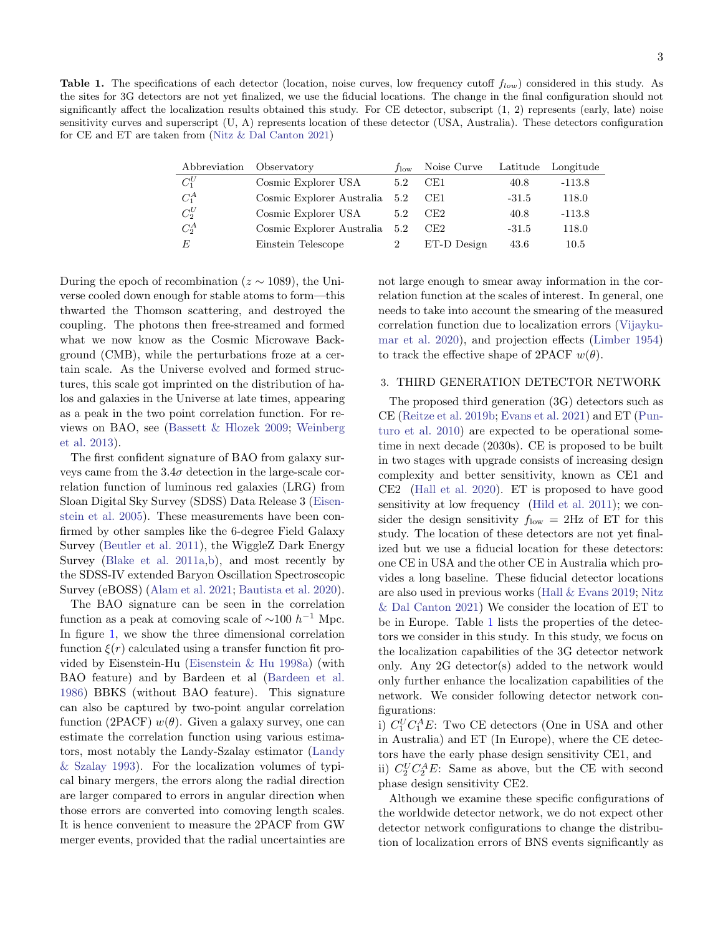<span id="page-2-1"></span>Table 1. The specifications of each detector (location, noise curves, low frequency cutoff  $f_{low}$ ) considered in this study. As the sites for 3G detectors are not yet finalized, we use the fiducial locations. The change in the final configuration should not significantly affect the localization results obtained this study. For CE detector, subscript (1, 2) represents (early, late) noise sensitivity curves and superscript (U, A) represents location of these detector (USA, Australia). These detectors configuration for CE and ET are taken from [\(Nitz & Dal Canton](#page-8-19) [2021\)](#page-8-19)

| Abbreviation Observatory |                           | $t_{\text{low}}$ | Noise Curve |         | Latitude Longitude |
|--------------------------|---------------------------|------------------|-------------|---------|--------------------|
| $C_1^U$                  | Cosmic Explorer USA       | 5.2              | CE1         | 40.8    | $-113.8$           |
| $C_1^A$                  | Cosmic Explorer Australia | 5.2              | CE1         | $-31.5$ | 118.0              |
| $C_2^U$                  | Cosmic Explorer USA       | 5.2              | CE2         | 40.8    | $-113.8$           |
| $C_2^A$                  | Cosmic Explorer Australia | 5.2              | CE2         | $-31.5$ | 118.0              |
| E                        | Einstein Telescope        |                  | ET-D Design | 43.6    | 10.5               |

During the epoch of recombination ( $z \sim 1089$ ), the Universe cooled down enough for stable atoms to form—this thwarted the Thomson scattering, and destroyed the coupling. The photons then free-streamed and formed what we now know as the Cosmic Microwave Background (CMB), while the perturbations froze at a certain scale. As the Universe evolved and formed structures, this scale got imprinted on the distribution of halos and galaxies in the Universe at late times, appearing as a peak in the two point correlation function. For reviews on BAO, see [\(Bassett & Hlozek](#page-7-13) [2009;](#page-7-13) [Weinberg](#page-9-10) [et al.](#page-9-10) [2013\)](#page-9-10).

The first confident signature of BAO from galaxy surveys came from the  $3.4\sigma$  detection in the large-scale correlation function of luminous red galaxies (LRG) from Sloan Digital Sky Survey (SDSS) Data Release 3 [\(Eisen](#page-8-20)[stein et al.](#page-8-20) [2005\)](#page-8-20). These measurements have been confirmed by other samples like the 6-degree Field Galaxy Survey [\(Beutler et al.](#page-8-21) [2011\)](#page-8-21), the WiggleZ Dark Energy Survey [\(Blake et al.](#page-8-22) [2011a](#page-8-22)[,b\)](#page-8-23), and most recently by the SDSS-IV extended Baryon Oscillation Spectroscopic Survey (eBOSS) [\(Alam et al.](#page-7-14) [2021;](#page-7-14) [Bautista et al.](#page-8-24) [2020\)](#page-8-24).

The BAO signature can be seen in the correlation function as a peak at comoving scale of  $\sim$ 100  $h^{-1}$  Mpc. In figure [1,](#page-1-1) we show the three dimensional correlation function  $\xi(r)$  calculated using a transfer function fit provided by Eisenstein-Hu [\(Eisenstein & Hu](#page-8-15) [1998a\)](#page-8-15) (with BAO feature) and by Bardeen et al [\(Bardeen et al.](#page-7-11) [1986\)](#page-7-11) BBKS (without BAO feature). This signature can also be captured by two-point angular correlation function (2PACF)  $w(\theta)$ . Given a galaxy survey, one can estimate the correlation function using various estimators, most notably the Landy-Szalay estimator [\(Landy](#page-8-25) [& Szalay](#page-8-25) [1993\)](#page-8-25). For the localization volumes of typical binary mergers, the errors along the radial direction are larger compared to errors in angular direction when those errors are converted into comoving length scales. It is hence convenient to measure the 2PACF from GW merger events, provided that the radial uncertainties are

not large enough to smear away information in the correlation function at the scales of interest. In general, one needs to take into account the smearing of the measured correlation function due to localization errors [\(Vijayku](#page-9-4)[mar et al.](#page-9-4) [2020\)](#page-9-4), and projection effects [\(Limber](#page-8-26) [1954\)](#page-8-26) to track the effective shape of 2PACF  $w(\theta)$ .

#### <span id="page-2-0"></span>3. THIRD GENERATION DETECTOR NETWORK

The proposed third generation (3G) detectors such as CE [\(Reitze et al.](#page-9-11) [2019b;](#page-9-11) [Evans et al.](#page-8-27) [2021\)](#page-8-27) and ET [\(Pun](#page-8-28)[turo et al.](#page-8-28) [2010\)](#page-8-28) are expected to be operational sometime in next decade (2030s). CE is proposed to be built in two stages with upgrade consists of increasing design complexity and better sensitivity, known as CE1 and CE2 [\(Hall et al.](#page-8-29) [2020\)](#page-8-29). ET is proposed to have good sensitivity at low frequency [\(Hild et al.](#page-8-30) [2011\)](#page-8-30); we consider the design sensitivity  $f_{\text{low}} = 2\text{Hz}$  of ET for this study. The location of these detectors are not yet finalized but we use a fiducial location for these detectors: one CE in USA and the other CE in Australia which provides a long baseline. These fiducial detector locations are also used in previous works [\(Hall & Evans](#page-8-31) [2019;](#page-8-31) [Nitz](#page-8-19) [& Dal Canton](#page-8-19) [2021\)](#page-8-19) We consider the location of ET to be in Europe. Table [1](#page-2-1) lists the properties of the detectors we consider in this study. In this study, we focus on the localization capabilities of the 3G detector network only. Any 2G detector(s) added to the network would only further enhance the localization capabilities of the network. We consider following detector network configurations:

i)  $C_1^U C_1^A E$ : Two CE detectors (One in USA and other in Australia) and ET (In Europe), where the CE detectors have the early phase design sensitivity CE1, and

ii)  $C_2^U C_2^A E$ : Same as above, but the CE with second phase design sensitivity CE2.

Although we examine these specific configurations of the worldwide detector network, we do not expect other detector network configurations to change the distribution of localization errors of BNS events significantly as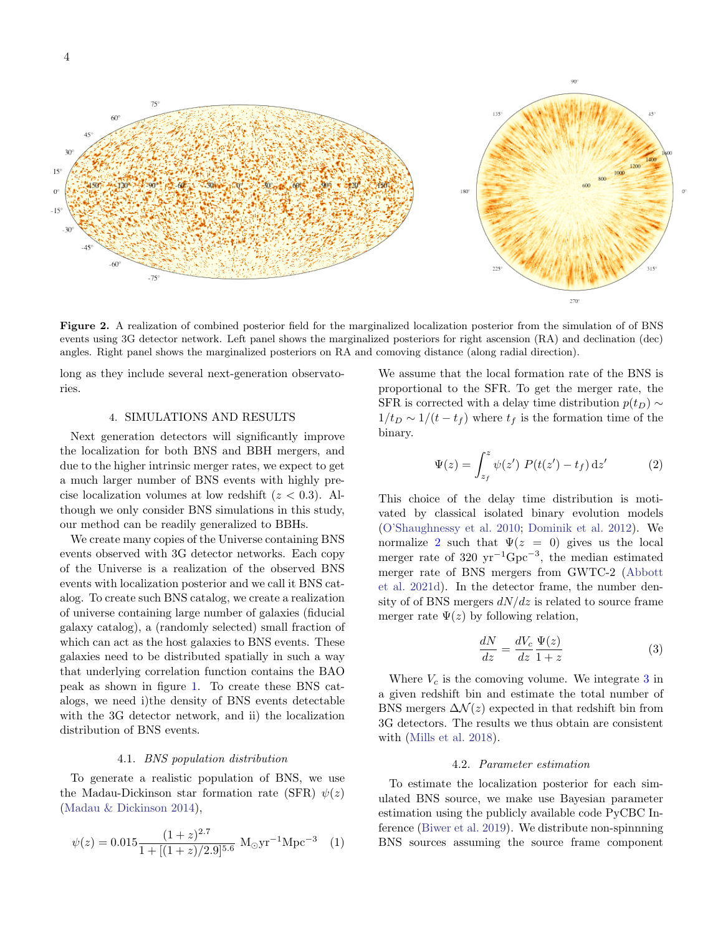4



<span id="page-3-3"></span>Figure 2. A realization of combined posterior field for the marginalized localization posterior from the simulation of of BNS events using 3G detector network. Left panel shows the marginalized posteriors for right ascension (RA) and declination (dec) angles. Right panel shows the marginalized posteriors on RA and comoving distance (along radial direction).

long as they include several next-generation observatories.

### 4. SIMULATIONS AND RESULTS

<span id="page-3-0"></span>Next generation detectors will significantly improve the localization for both BNS and BBH mergers, and due to the higher intrinsic merger rates, we expect to get a much larger number of BNS events with highly precise localization volumes at low redshift  $(z < 0.3)$ . Although we only consider BNS simulations in this study, our method can be readily generalized to BBHs.

We create many copies of the Universe containing BNS events observed with 3G detector networks. Each copy of the Universe is a realization of the observed BNS events with localization posterior and we call it BNS catalog. To create such BNS catalog, we create a realization of universe containing large number of galaxies (fiducial galaxy catalog), a (randomly selected) small fraction of which can act as the host galaxies to BNS events. These galaxies need to be distributed spatially in such a way that underlying correlation function contains the BAO peak as shown in figure [1.](#page-1-1) To create these BNS catalogs, we need i)the density of BNS events detectable with the 3G detector network, and ii) the localization distribution of BNS events.

# 4.1. BNS population distribution

To generate a realistic population of BNS, we use the Madau-Dickinson star formation rate (SFR)  $\psi(z)$ [\(Madau & Dickinson](#page-8-32) [2014\)](#page-8-32),

$$
\psi(z) = 0.015 \frac{(1+z)^{2.7}}{1 + [(1+z)/2.9]^{5.6}} \text{ M}_{\odot} \text{yr}^{-1} \text{Mpc}^{-3} \tag{1}
$$

We assume that the local formation rate of the BNS is proportional to the SFR. To get the merger rate, the SFR is corrected with a delay time distribution  $p(t_D) \sim$  $1/t_D \sim 1/(t-t_f)$  where  $t_f$  is the formation time of the binary.

<span id="page-3-1"></span>
$$
\Psi(z) = \int_{z_f}^{z} \psi(z') \ P(t(z') - t_f) \, \mathrm{d}z' \tag{2}
$$

This choice of the delay time distribution is motivated by classical isolated binary evolution models [\(O'Shaughnessy et al.](#page-8-33) [2010;](#page-8-33) [Dominik et al.](#page-8-34) [2012\)](#page-8-34). We normalize [2](#page-3-1) such that  $\Psi(z = 0)$  gives us the local merger rate of 320  $yr^{-1}Gpc^{-3}$ , the median estimated merger rate of BNS mergers from GWTC-2 [\(Abbott](#page-7-15) [et al.](#page-7-15) [2021d\)](#page-7-15). In the detector frame, the number density of of BNS mergers  $dN/dz$  is related to source frame merger rate  $\Psi(z)$  by following relation,

<span id="page-3-2"></span>
$$
\frac{dN}{dz} = \frac{dV_c}{dz}\frac{\Psi(z)}{1+z} \tag{3}
$$

Where  $V_c$  is the comoving volume. We integrate [3](#page-3-2) in a given redshift bin and estimate the total number of BNS mergers  $\Delta \mathcal{N}(z)$  expected in that redshift bin from 3G detectors. The results we thus obtain are consistent with [\(Mills et al.](#page-8-2) [2018\)](#page-8-2).

#### 4.2. Parameter estimation

To estimate the localization posterior for each simulated BNS source, we make use Bayesian parameter estimation using the publicly available code PyCBC Inference [\(Biwer et al.](#page-8-35) [2019\)](#page-8-35). We distribute non-spinnning BNS sources assuming the source frame component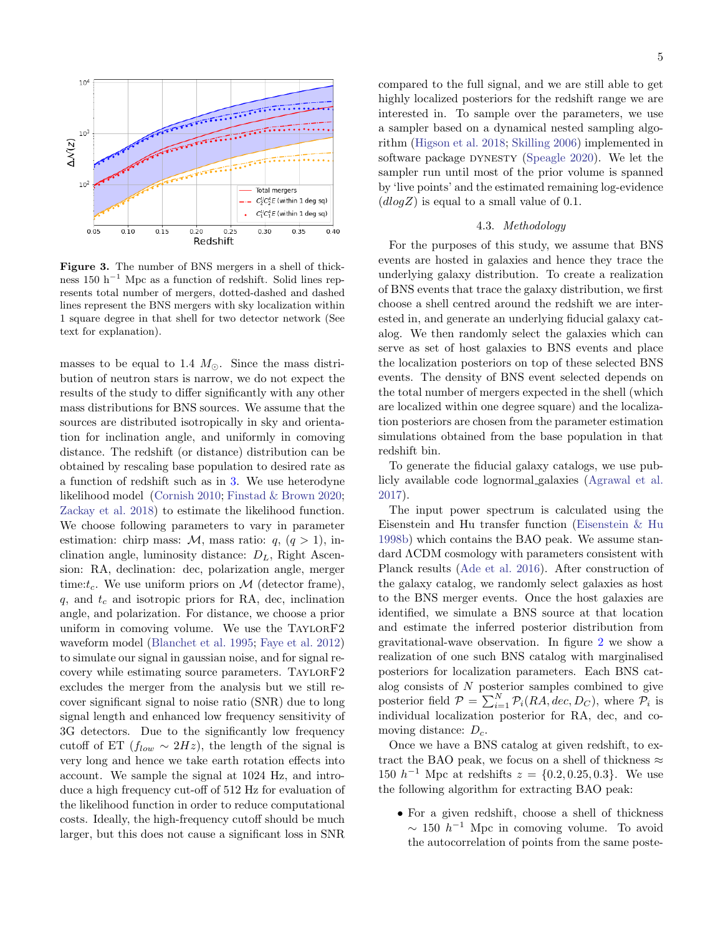

Figure 3. The number of BNS mergers in a shell of thickness 150 h<sup> $-1$ </sup> Mpc as a function of redshift. Solid lines represents total number of mergers, dotted-dashed and dashed lines represent the BNS mergers with sky localization within 1 square degree in that shell for two detector network (See text for explanation).

masses to be equal to 1.4  $M_{\odot}$ . Since the mass distribution of neutron stars is narrow, we do not expect the results of the study to differ significantly with any other mass distributions for BNS sources. We assume that the sources are distributed isotropically in sky and orientation for inclination angle, and uniformly in comoving distance. The redshift (or distance) distribution can be obtained by rescaling base population to desired rate as a function of redshift such as in [3.](#page-3-2) We use heterodyne likelihood model [\(Cornish](#page-8-36) [2010;](#page-8-36) [Finstad & Brown](#page-8-37) [2020;](#page-8-37) [Zackay et al.](#page-9-12) [2018\)](#page-9-12) to estimate the likelihood function. We choose following parameters to vary in parameter estimation: chirp mass:  $M$ , mass ratio:  $q$ ,  $(q > 1)$ , inclination angle, luminosity distance:  $D_L$ , Right Ascension: RA, declination: dec, polarization angle, merger time: $t_c$ . We use uniform priors on  $\mathcal M$  (detector frame),  $q$ , and  $t_c$  and isotropic priors for RA, dec, inclination angle, and polarization. For distance, we choose a prior uniform in comoving volume. We use the TAYLORF2 waveform model [\(Blanchet et al.](#page-8-38) [1995;](#page-8-38) [Faye et al.](#page-8-39) [2012\)](#page-8-39) to simulate our signal in gaussian noise, and for signal recovery while estimating source parameters. TAYLORF2 excludes the merger from the analysis but we still recover significant signal to noise ratio (SNR) due to long signal length and enhanced low frequency sensitivity of 3G detectors. Due to the significantly low frequency cutoff of ET  $(f_{low} \sim 2Hz)$ , the length of the signal is very long and hence we take earth rotation effects into account. We sample the signal at 1024 Hz, and introduce a high frequency cut-off of 512 Hz for evaluation of the likelihood function in order to reduce computational costs. Ideally, the high-frequency cutoff should be much larger, but this does not cause a significant loss in SNR

compared to the full signal, and we are still able to get highly localized posteriors for the redshift range we are interested in. To sample over the parameters, we use a sampler based on a dynamical nested sampling algorithm [\(Higson et al.](#page-8-40) [2018;](#page-8-40) [Skilling](#page-9-13) [2006\)](#page-9-13) implemented in software package DYNESTY [\(Speagle](#page-9-14) [2020\)](#page-9-14). We let the sampler run until most of the prior volume is spanned by 'live points' and the estimated remaining log-evidence  $(dlog Z)$  is equal to a small value of 0.1.

### 4.3. Methodology

For the purposes of this study, we assume that BNS events are hosted in galaxies and hence they trace the underlying galaxy distribution. To create a realization of BNS events that trace the galaxy distribution, we first choose a shell centred around the redshift we are interested in, and generate an underlying fiducial galaxy catalog. We then randomly select the galaxies which can serve as set of host galaxies to BNS events and place the localization posteriors on top of these selected BNS events. The density of BNS event selected depends on the total number of mergers expected in the shell (which are localized within one degree square) and the localization posteriors are chosen from the parameter estimation simulations obtained from the base population in that redshift bin.

To generate the fiducial galaxy catalogs, we use publicly available code lognormal galaxies [\(Agrawal et al.](#page-7-16) [2017\)](#page-7-16).

The input power spectrum is calculated using the Eisenstein and Hu transfer function [\(Eisenstein & Hu](#page-8-18) [1998b\)](#page-8-18) which contains the BAO peak. We assume standard ΛCDM cosmology with parameters consistent with Planck results [\(Ade et al.](#page-7-12) [2016\)](#page-7-12). After construction of the galaxy catalog, we randomly select galaxies as host to the BNS merger events. Once the host galaxies are identified, we simulate a BNS source at that location and estimate the inferred posterior distribution from gravitational-wave observation. In figure [2](#page-3-3) we show a realization of one such BNS catalog with marginalised posteriors for localization parameters. Each BNS catalog consists of  $N$  posterior samples combined to give posterior field  $P = \sum_{i=1}^{N} P_i(RA, dec, D_C)$ , where  $P_i$  is individual localization posterior for RA, dec, and comoving distance:  $D_c$ .

Once we have a BNS catalog at given redshift, to extract the BAO peak, we focus on a shell of thickness  $\approx$ 150  $h^{-1}$  Mpc at redshifts  $z = \{0.2, 0.25, 0.3\}$ . We use the following algorithm for extracting BAO peak:

• For a given redshift, choose a shell of thickness  $\sim 150 h^{-1}$  Mpc in comoving volume. To avoid the autocorrelation of points from the same poste-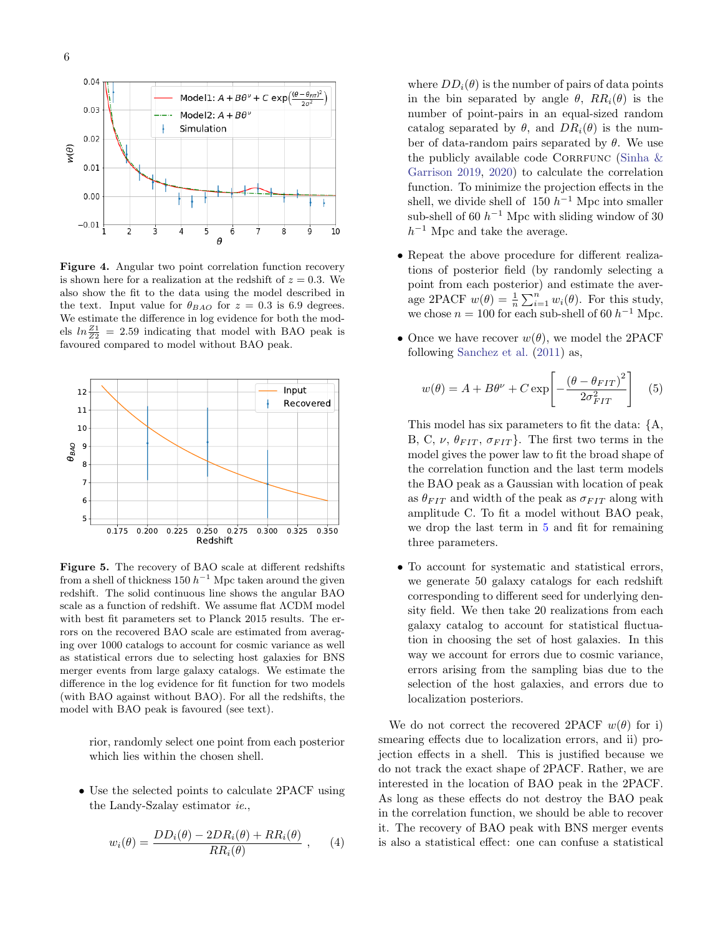

<span id="page-5-1"></span>Figure 4. Angular two point correlation function recovery is shown here for a realization at the redshift of  $z = 0.3$ . We also show the fit to the data using the model described in the text. Input value for  $\theta_{BAO}$  for  $z = 0.3$  is 6.9 degrees. We estimate the difference in log evidence for both the models  $ln \frac{Z_1}{Z_2} = 2.59$  indicating that model with BAO peak is favoured compared to model without BAO peak.



<span id="page-5-2"></span>Figure 5. The recovery of BAO scale at different redshifts from a shell of thickness 150  $h^{-1}$  Mpc taken around the given redshift. The solid continuous line shows the angular BAO scale as a function of redshift. We assume flat ΛCDM model with best fit parameters set to Planck 2015 results. The errors on the recovered BAO scale are estimated from averaging over 1000 catalogs to account for cosmic variance as well as statistical errors due to selecting host galaxies for BNS merger events from large galaxy catalogs. We estimate the difference in the log evidence for fit function for two models (with BAO against without BAO). For all the redshifts, the model with BAO peak is favoured (see text).

rior, randomly select one point from each posterior which lies within the chosen shell.

• Use the selected points to calculate 2PACF using the Landy-Szalay estimator ie.,

$$
w_i(\theta) = \frac{DD_i(\theta) - 2DR_i(\theta) + RR_i(\theta)}{RR_i(\theta)} , \qquad (4)
$$

where  $DD_i(\theta)$  is the number of pairs of data points in the bin separated by angle  $\theta$ ,  $RR_i(\theta)$  is the number of point-pairs in an equal-sized random catalog separated by  $\theta$ , and  $DR_i(\theta)$  is the number of data-random pairs separated by  $\theta$ . We use the publicly available code CORRFUNC (Sinha  $\&$ [Garrison](#page-9-15) [2019,](#page-9-15) [2020\)](#page-9-16) to calculate the correlation function. To minimize the projection effects in the shell, we divide shell of  $150 h^{-1}$  Mpc into smaller sub-shell of 60  $h^{-1}$  Mpc with sliding window of 30  $h^{-1}$  Mpc and take the average.

- Repeat the above procedure for different realizations of posterior field (by randomly selecting a point from each posterior) and estimate the average 2PACF  $w(\theta) = \frac{1}{n} \sum_{i=1}^{n} w_i(\theta)$ . For this study, we chose  $n = 100$  for each sub-shell of 60  $h^{-1}$  Mpc.
- Once we have recover  $w(\theta)$ , we model the 2PACF following [Sanchez et al.](#page-9-17) [\(2011\)](#page-9-17) as,

<span id="page-5-0"></span>
$$
w(\theta) = A + B\theta^{\nu} + C \exp\left[-\frac{(\theta - \theta_{FIT})^2}{2\sigma_{FIT}^2}\right] \quad (5)
$$

This model has six parameters to fit the data: {A, B, C,  $\nu$ ,  $\theta_{FIT}$ ,  $\sigma_{FIT}$ . The first two terms in the model gives the power law to fit the broad shape of the correlation function and the last term models the BAO peak as a Gaussian with location of peak as  $\theta_{FIT}$  and width of the peak as  $\sigma_{FIT}$  along with amplitude C. To fit a model without BAO peak, we drop the last term in [5](#page-5-0) and fit for remaining three parameters.

• To account for systematic and statistical errors, we generate 50 galaxy catalogs for each redshift corresponding to different seed for underlying density field. We then take 20 realizations from each galaxy catalog to account for statistical fluctuation in choosing the set of host galaxies. In this way we account for errors due to cosmic variance, errors arising from the sampling bias due to the selection of the host galaxies, and errors due to localization posteriors.

We do not correct the recovered 2PACF  $w(\theta)$  for i) smearing effects due to localization errors, and ii) projection effects in a shell. This is justified because we do not track the exact shape of 2PACF. Rather, we are interested in the location of BAO peak in the 2PACF. As long as these effects do not destroy the BAO peak in the correlation function, we should be able to recover it. The recovery of BAO peak with BNS merger events is also a statistical effect: one can confuse a statistical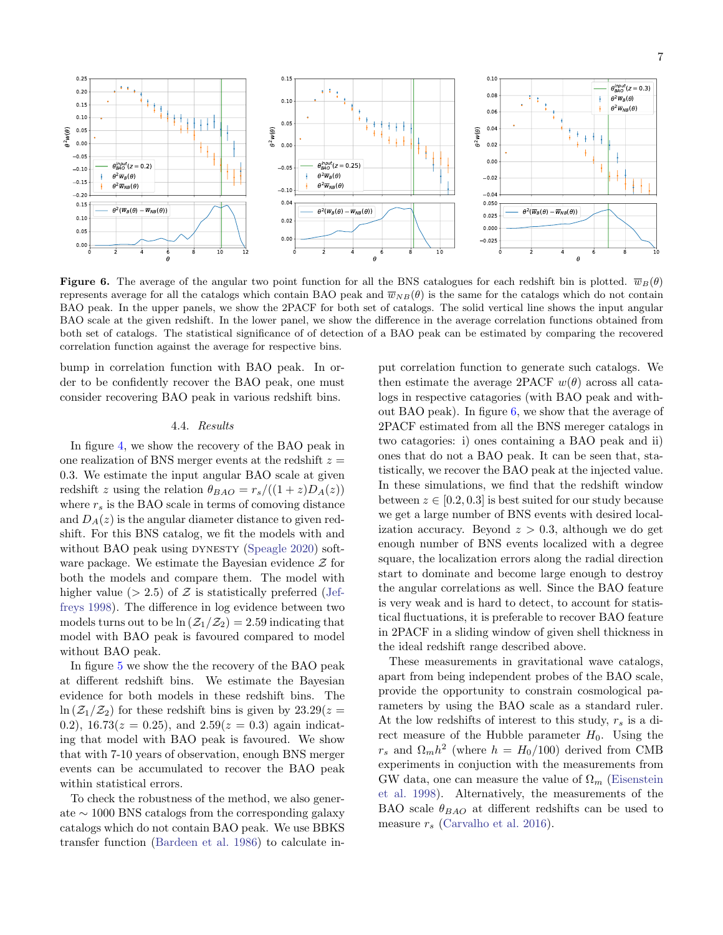

<span id="page-6-0"></span>**Figure 6.** The average of the angular two point function for all the BNS catalogues for each redshift bin is plotted.  $\overline{w}_B(\theta)$ represents average for all the catalogs which contain BAO peak and  $\overline{w}_{NB}(\theta)$  is the same for the catalogs which do not contain BAO peak. In the upper panels, we show the 2PACF for both set of catalogs. The solid vertical line shows the input angular BAO scale at the given redshift. In the lower panel, we show the difference in the average correlation functions obtained from both set of catalogs. The statistical significance of of detection of a BAO peak can be estimated by comparing the recovered correlation function against the average for respective bins.

bump in correlation function with BAO peak. In order to be confidently recover the BAO peak, one must consider recovering BAO peak in various redshift bins.

### 4.4. Results

In figure [4,](#page-5-1) we show the recovery of the BAO peak in one realization of BNS merger events at the redshift  $z =$ 0.3. We estimate the input angular BAO scale at given redshift z using the relation  $\theta_{BAO} = r_s/((1+z)D_A(z))$ where  $r_s$  is the BAO scale in terms of comoving distance and  $D_A(z)$  is the angular diameter distance to given redshift. For this BNS catalog, we fit the models with and without BAO peak using DYNESTY [\(Speagle](#page-9-14) [2020\)](#page-9-14) software package. We estimate the Bayesian evidence  $\mathcal Z$  for both the models and compare them. The model with higher value ( $> 2.5$ ) of Z is statistically preferred [\(Jef](#page-8-41)[freys](#page-8-41) [1998\)](#page-8-41). The difference in log evidence between two models turns out to be  $\ln(\mathcal{Z}_1/\mathcal{Z}_2) = 2.59$  indicating that model with BAO peak is favoured compared to model without BAO peak.

In figure [5](#page-5-2) we show the the recovery of the BAO peak at different redshift bins. We estimate the Bayesian evidence for both models in these redshift bins. The  $\ln(\mathcal{Z}_1/\mathcal{Z}_2)$  for these redshift bins is given by  $23.29(z=$ 0.2), 16.73( $z = 0.25$ ), and  $2.59(z = 0.3)$  again indicating that model with BAO peak is favoured. We show that with 7-10 years of observation, enough BNS merger events can be accumulated to recover the BAO peak within statistical errors.

To check the robustness of the method, we also generate ∼ 1000 BNS catalogs from the corresponding galaxy catalogs which do not contain BAO peak. We use BBKS transfer function [\(Bardeen et al.](#page-7-11) [1986\)](#page-7-11) to calculate input correlation function to generate such catalogs. We then estimate the average 2PACF  $w(\theta)$  across all catalogs in respective catagories (with BAO peak and without BAO peak). In figure [6,](#page-6-0) we show that the average of 2PACF estimated from all the BNS mereger catalogs in two catagories: i) ones containing a BAO peak and ii) ones that do not a BAO peak. It can be seen that, statistically, we recover the BAO peak at the injected value. In these simulations, we find that the redshift window between  $z \in [0.2, 0.3]$  is best suited for our study because we get a large number of BNS events with desired localization accuracy. Beyond  $z > 0.3$ , although we do get enough number of BNS events localized with a degree square, the localization errors along the radial direction start to dominate and become large enough to destroy the angular correlations as well. Since the BAO feature is very weak and is hard to detect, to account for statistical fluctuations, it is preferable to recover BAO feature in 2PACF in a sliding window of given shell thickness in the ideal redshift range described above.

These measurements in gravitational wave catalogs, apart from being independent probes of the BAO scale, provide the opportunity to constrain cosmological parameters by using the BAO scale as a standard ruler. At the low redshifts of interest to this study,  $r_s$  is a direct measure of the Hubble parameter  $H_0$ . Using the  $r_s$  and  $\Omega_m h^2$  (where  $h = H_0/100$ ) derived from CMB experiments in conjuction with the measurements from GW data, one can measure the value of  $\Omega_m$  [\(Eisenstein](#page-8-42) [et al.](#page-8-42) [1998\)](#page-8-42). Alternatively, the measurements of the BAO scale  $\theta_{BAO}$  at different redshifts can be used to measure  $r_s$  [\(Carvalho et al.](#page-8-43) [2016\)](#page-8-43).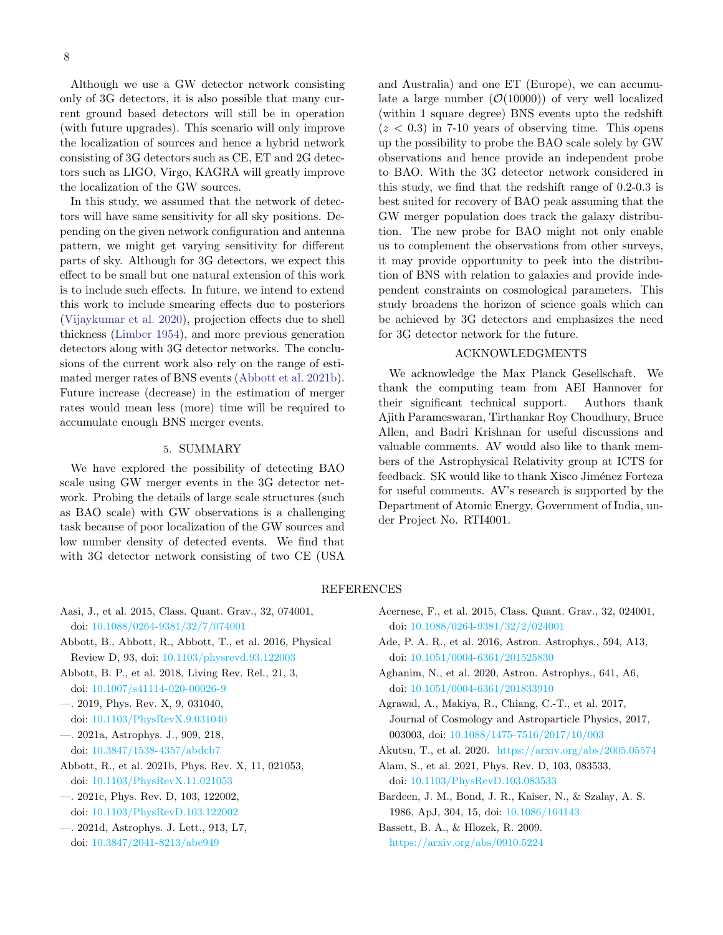Although we use a GW detector network consisting only of 3G detectors, it is also possible that many current ground based detectors will still be in operation (with future upgrades). This scenario will only improve the localization of sources and hence a hybrid network consisting of 3G detectors such as CE, ET and 2G detectors such as LIGO, Virgo, KAGRA will greatly improve the localization of the GW sources.

In this study, we assumed that the network of detectors will have same sensitivity for all sky positions. Depending on the given network configuration and antenna pattern, we might get varying sensitivity for different parts of sky. Although for 3G detectors, we expect this effect to be small but one natural extension of this work is to include such effects. In future, we intend to extend this work to include smearing effects due to posteriors [\(Vijaykumar et al.](#page-9-4) [2020\)](#page-9-4), projection effects due to shell thickness [\(Limber](#page-8-26) [1954\)](#page-8-26), and more previous generation detectors along with 3G detector networks. The conclusions of the current work also rely on the range of estimated merger rates of BNS events [\(Abbott et al.](#page-7-1) [2021b\)](#page-7-1). Future increase (decrease) in the estimation of merger rates would mean less (more) time will be required to accumulate enough BNS merger events.

# 5. SUMMARY

<span id="page-7-9"></span>We have explored the possibility of detecting BAO scale using GW merger events in the 3G detector network. Probing the details of large scale structures (such as BAO scale) with GW observations is a challenging task because of poor localization of the GW sources and low number density of detected events. We find that with 3G detector network consisting of two CE (USA

and Australia) and one ET (Europe), we can accumulate a large number  $(\mathcal{O}(10000))$  of very well localized (within 1 square degree) BNS events upto the redshift  $(z < 0.3)$  in 7-10 years of observing time. This opens up the possibility to probe the BAO scale solely by GW observations and hence provide an independent probe to BAO. With the 3G detector network considered in this study, we find that the redshift range of 0.2-0.3 is best suited for recovery of BAO peak assuming that the GW merger population does track the galaxy distribution. The new probe for BAO might not only enable us to complement the observations from other surveys, it may provide opportunity to peek into the distribution of BNS with relation to galaxies and provide independent constraints on cosmological parameters. This study broadens the horizon of science goals which can be achieved by 3G detectors and emphasizes the need for 3G detector network for the future.

## ACKNOWLEDGMENTS

We acknowledge the Max Planck Gesellschaft. We thank the computing team from AEI Hannover for their significant technical support. Authors thank Ajith Parameswaran, Tirthankar Roy Choudhury, Bruce Allen, and Badri Krishnan for useful discussions and valuable comments. AV would also like to thank members of the Astrophysical Relativity group at ICTS for feedback. SK would like to thank Xisco Jiménez Forteza for useful comments. AV's research is supported by the Department of Atomic Energy, Government of India, under Project No. RTI4001.

### REFERENCES

- <span id="page-7-5"></span>Aasi, J., et al. 2015, Class. Quant. Grav., 32, 074001, doi: [10.1088/0264-9381/32/7/074001](http://doi.org/10.1088/0264-9381/32/7/074001)
- <span id="page-7-2"></span>Abbott, B., Abbott, R., Abbott, T., et al. 2016, Physical Review D, 93, doi: [10.1103/physrevd.93.122003](http://doi.org/10.1103/physrevd.93.122003)
- <span id="page-7-8"></span>Abbott, B. P., et al. 2018, Living Rev. Rel., 21, 3, doi: [10.1007/s41114-020-00026-9](http://doi.org/10.1007/s41114-020-00026-9)
- <span id="page-7-0"></span>—. 2019, Phys. Rev. X, 9, 031040, doi: [10.1103/PhysRevX.9.031040](http://doi.org/10.1103/PhysRevX.9.031040)
- <span id="page-7-4"></span>—. 2021a, Astrophys. J., 909, 218, doi: [10.3847/1538-4357/abdcb7](http://doi.org/10.3847/1538-4357/abdcb7)
- <span id="page-7-1"></span>Abbott, R., et al. 2021b, Phys. Rev. X, 11, 021053, doi: [10.1103/PhysRevX.11.021053](http://doi.org/10.1103/PhysRevX.11.021053)
- <span id="page-7-3"></span>—. 2021c, Phys. Rev. D, 103, 122002, doi: [10.1103/PhysRevD.103.122002](http://doi.org/10.1103/PhysRevD.103.122002)
- <span id="page-7-15"></span>—. 2021d, Astrophys. J. Lett., 913, L7, doi: [10.3847/2041-8213/abe949](http://doi.org/10.3847/2041-8213/abe949)
- <span id="page-7-6"></span>Acernese, F., et al. 2015, Class. Quant. Grav., 32, 024001, doi: [10.1088/0264-9381/32/2/024001](http://doi.org/10.1088/0264-9381/32/2/024001)
- <span id="page-7-12"></span>Ade, P. A. R., et al. 2016, Astron. Astrophys., 594, A13, doi: [10.1051/0004-6361/201525830](http://doi.org/10.1051/0004-6361/201525830)
- <span id="page-7-10"></span>Aghanim, N., et al. 2020, Astron. Astrophys., 641, A6, doi: [10.1051/0004-6361/201833910](http://doi.org/10.1051/0004-6361/201833910)
- <span id="page-7-16"></span>Agrawal, A., Makiya, R., Chiang, C.-T., et al. 2017, Journal of Cosmology and Astroparticle Physics, 2017, 003003, doi: [10.1088/1475-7516/2017/10/003](http://doi.org/10.1088/1475-7516/2017/10/003)
- <span id="page-7-7"></span>Akutsu, T., et al. 2020. <https://arxiv.org/abs/2005.05574>
- <span id="page-7-14"></span>Alam, S., et al. 2021, Phys. Rev. D, 103, 083533, doi: [10.1103/PhysRevD.103.083533](http://doi.org/10.1103/PhysRevD.103.083533)
- <span id="page-7-11"></span>Bardeen, J. M., Bond, J. R., Kaiser, N., & Szalay, A. S. 1986, ApJ, 304, 15, doi: [10.1086/164143](http://doi.org/10.1086/164143)

<span id="page-7-13"></span>Bassett, B. A., & Hlozek, R. 2009. <https://arxiv.org/abs/0910.5224>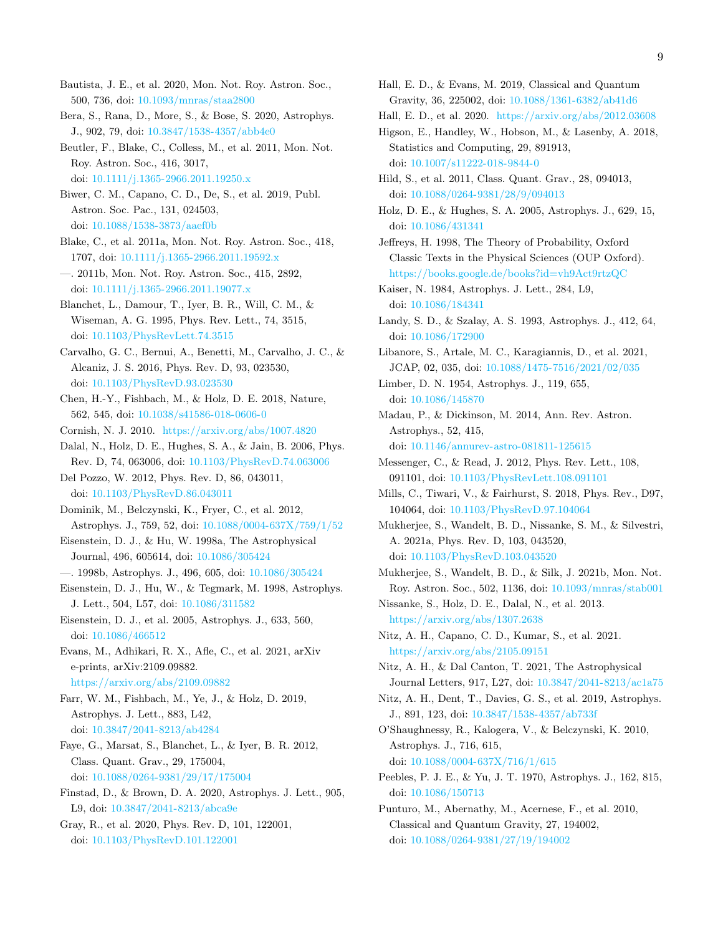- <span id="page-8-24"></span>Bautista, J. E., et al. 2020, Mon. Not. Roy. Astron. Soc., 500, 736, doi: [10.1093/mnras/staa2800](http://doi.org/10.1093/mnras/staa2800)
- <span id="page-8-16"></span>Bera, S., Rana, D., More, S., & Bose, S. 2020, Astrophys. J., 902, 79, doi: [10.3847/1538-4357/abb4e0](http://doi.org/10.3847/1538-4357/abb4e0)
- <span id="page-8-21"></span>Beutler, F., Blake, C., Colless, M., et al. 2011, Mon. Not. Roy. Astron. Soc., 416, 3017, doi: [10.1111/j.1365-2966.2011.19250.x](http://doi.org/10.1111/j.1365-2966.2011.19250.x)
- <span id="page-8-35"></span>Biwer, C. M., Capano, C. D., De, S., et al. 2019, Publ. Astron. Soc. Pac., 131, 024503, doi: [10.1088/1538-3873/aaef0b](http://doi.org/10.1088/1538-3873/aaef0b)
- <span id="page-8-22"></span>Blake, C., et al. 2011a, Mon. Not. Roy. Astron. Soc., 418, 1707, doi: [10.1111/j.1365-2966.2011.19592.x](http://doi.org/10.1111/j.1365-2966.2011.19592.x)
- <span id="page-8-23"></span>—. 2011b, Mon. Not. Roy. Astron. Soc., 415, 2892, doi: [10.1111/j.1365-2966.2011.19077.x](http://doi.org/10.1111/j.1365-2966.2011.19077.x)
- <span id="page-8-38"></span>Blanchet, L., Damour, T., Iyer, B. R., Will, C. M., & Wiseman, A. G. 1995, Phys. Rev. Lett., 74, 3515, doi: [10.1103/PhysRevLett.74.3515](http://doi.org/10.1103/PhysRevLett.74.3515)
- <span id="page-8-43"></span>Carvalho, G. C., Bernui, A., Benetti, M., Carvalho, J. C., & Alcaniz, J. S. 2016, Phys. Rev. D, 93, 023530, doi: [10.1103/PhysRevD.93.023530](http://doi.org/10.1103/PhysRevD.93.023530)
- <span id="page-8-11"></span>Chen, H.-Y., Fishbach, M., & Holz, D. E. 2018, Nature, 562, 545, doi: [10.1038/s41586-018-0606-0](http://doi.org/10.1038/s41586-018-0606-0)
- <span id="page-8-36"></span>Cornish, N. J. 2010. <https://arxiv.org/abs/1007.4820>
- <span id="page-8-8"></span>Dalal, N., Holz, D. E., Hughes, S. A., & Jain, B. 2006, Phys. Rev. D, 74, 063006, doi: [10.1103/PhysRevD.74.063006](http://doi.org/10.1103/PhysRevD.74.063006)
- <span id="page-8-10"></span>Del Pozzo, W. 2012, Phys. Rev. D, 86, 043011, doi: [10.1103/PhysRevD.86.043011](http://doi.org/10.1103/PhysRevD.86.043011)
- <span id="page-8-34"></span>Dominik, M., Belczynski, K., Fryer, C., et al. 2012, Astrophys. J., 759, 52, doi: [10.1088/0004-637X/759/1/52](http://doi.org/10.1088/0004-637X/759/1/52)
- <span id="page-8-15"></span>Eisenstein, D. J., & Hu, W. 1998a, The Astrophysical Journal, 496, 605614, doi: [10.1086/305424](http://doi.org/10.1086/305424)
- <span id="page-8-18"></span>—. 1998b, Astrophys. J., 496, 605, doi: [10.1086/305424](http://doi.org/10.1086/305424)
- <span id="page-8-42"></span>Eisenstein, D. J., Hu, W., & Tegmark, M. 1998, Astrophys. J. Lett., 504, L57, doi: [10.1086/311582](http://doi.org/10.1086/311582)
- <span id="page-8-20"></span>Eisenstein, D. J., et al. 2005, Astrophys. J., 633, 560, doi: [10.1086/466512](http://doi.org/10.1086/466512)
- <span id="page-8-27"></span>Evans, M., Adhikari, R. X., Afle, C., et al. 2021, arXiv e-prints, arXiv:2109.09882. <https://arxiv.org/abs/2109.09882>
- <span id="page-8-13"></span>Farr, W. M., Fishbach, M., Ye, J., & Holz, D. 2019, Astrophys. J. Lett., 883, L42, doi: [10.3847/2041-8213/ab4284](http://doi.org/10.3847/2041-8213/ab4284)
- <span id="page-8-39"></span>Faye, G., Marsat, S., Blanchet, L., & Iyer, B. R. 2012, Class. Quant. Grav., 29, 175004, doi: [10.1088/0264-9381/29/17/175004](http://doi.org/10.1088/0264-9381/29/17/175004)
- <span id="page-8-37"></span>Finstad, D., & Brown, D. A. 2020, Astrophys. J. Lett., 905, L9, doi: [10.3847/2041-8213/abca9e](http://doi.org/10.3847/2041-8213/abca9e)
- <span id="page-8-14"></span>Gray, R., et al. 2020, Phys. Rev. D, 101, 122001, doi: [10.1103/PhysRevD.101.122001](http://doi.org/10.1103/PhysRevD.101.122001)
- <span id="page-8-31"></span>Hall, E. D., & Evans, M. 2019, Classical and Quantum Gravity, 36, 225002, doi: [10.1088/1361-6382/ab41d6](http://doi.org/10.1088/1361-6382/ab41d6)
- <span id="page-8-29"></span>Hall, E. D., et al. 2020. <https://arxiv.org/abs/2012.03608>
- <span id="page-8-40"></span>Higson, E., Handley, W., Hobson, M., & Lasenby, A. 2018, Statistics and Computing, 29, 891913, doi: [10.1007/s11222-018-9844-0](http://doi.org/10.1007/s11222-018-9844-0)
- <span id="page-8-30"></span>Hild, S., et al. 2011, Class. Quant. Grav., 28, 094013, doi: [10.1088/0264-9381/28/9/094013](http://doi.org/10.1088/0264-9381/28/9/094013)
- <span id="page-8-7"></span>Holz, D. E., & Hughes, S. A. 2005, Astrophys. J., 629, 15, doi: [10.1086/431341](http://doi.org/10.1086/431341)
- <span id="page-8-41"></span>Jeffreys, H. 1998, The Theory of Probability, Oxford Classic Texts in the Physical Sciences (OUP Oxford). <https://books.google.de/books?id=vh9Act9rtzQC>
- <span id="page-8-6"></span>Kaiser, N. 1984, Astrophys. J. Lett., 284, L9, doi: [10.1086/184341](http://doi.org/10.1086/184341)
- <span id="page-8-25"></span>Landy, S. D., & Szalay, A. S. 1993, Astrophys. J., 412, 64, doi: [10.1086/172900](http://doi.org/10.1086/172900)
- <span id="page-8-4"></span>Libanore, S., Artale, M. C., Karagiannis, D., et al. 2021, JCAP, 02, 035, doi: [10.1088/1475-7516/2021/02/035](http://doi.org/10.1088/1475-7516/2021/02/035)
- <span id="page-8-26"></span>Limber, D. N. 1954, Astrophys. J., 119, 655, doi: [10.1086/145870](http://doi.org/10.1086/145870)
- <span id="page-8-32"></span>Madau, P., & Dickinson, M. 2014, Ann. Rev. Astron. Astrophys., 52, 415,
	- doi: [10.1146/annurev-astro-081811-125615](http://doi.org/10.1146/annurev-astro-081811-125615)
- <span id="page-8-12"></span>Messenger, C., & Read, J. 2012, Phys. Rev. Lett., 108, 091101, doi: [10.1103/PhysRevLett.108.091101](http://doi.org/10.1103/PhysRevLett.108.091101)
- <span id="page-8-2"></span>Mills, C., Tiwari, V., & Fairhurst, S. 2018, Phys. Rev., D97, 104064, doi: [10.1103/PhysRevD.97.104064](http://doi.org/10.1103/PhysRevD.97.104064)
- <span id="page-8-3"></span>Mukherjee, S., Wandelt, B. D., Nissanke, S. M., & Silvestri, A. 2021a, Phys. Rev. D, 103, 043520, doi: [10.1103/PhysRevD.103.043520](http://doi.org/10.1103/PhysRevD.103.043520)
- <span id="page-8-5"></span>Mukherjee, S., Wandelt, B. D., & Silk, J. 2021b, Mon. Not. Roy. Astron. Soc., 502, 1136, doi: [10.1093/mnras/stab001](http://doi.org/10.1093/mnras/stab001)
- <span id="page-8-9"></span>Nissanke, S., Holz, D. E., Dalal, N., et al. 2013. <https://arxiv.org/abs/1307.2638>
- <span id="page-8-1"></span>Nitz, A. H., Capano, C. D., Kumar, S., et al. 2021. <https://arxiv.org/abs/2105.09151>
- <span id="page-8-19"></span>Nitz, A. H., & Dal Canton, T. 2021, The Astrophysical Journal Letters, 917, L27, doi: [10.3847/2041-8213/ac1a75](http://doi.org/10.3847/2041-8213/ac1a75)
- <span id="page-8-0"></span>Nitz, A. H., Dent, T., Davies, G. S., et al. 2019, Astrophys. J., 891, 123, doi: [10.3847/1538-4357/ab733f](http://doi.org/10.3847/1538-4357/ab733f)
- <span id="page-8-33"></span>O'Shaughnessy, R., Kalogera, V., & Belczynski, K. 2010, Astrophys. J., 716, 615, doi: [10.1088/0004-637X/716/1/615](http://doi.org/10.1088/0004-637X/716/1/615)
- <span id="page-8-17"></span>Peebles, P. J. E., & Yu, J. T. 1970, Astrophys. J., 162, 815, doi: [10.1086/150713](http://doi.org/10.1086/150713)
- <span id="page-8-28"></span>Punturo, M., Abernathy, M., Acernese, F., et al. 2010, Classical and Quantum Gravity, 27, 194002, doi: [10.1088/0264-9381/27/19/194002](http://doi.org/10.1088/0264-9381/27/19/194002)